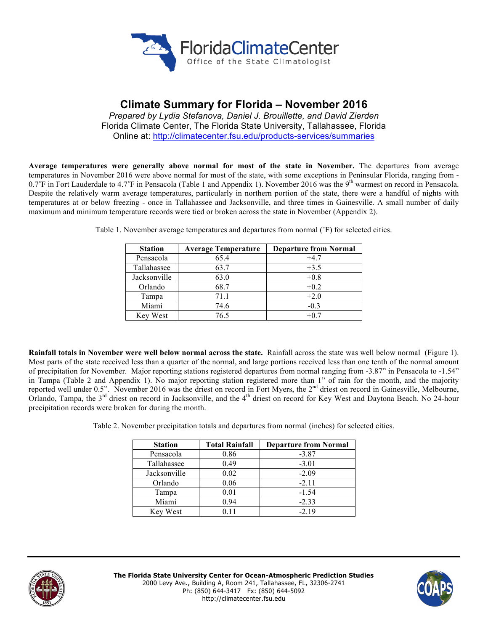

# **Climate Summary for Florida – November 2016**

*Prepared by Lydia Stefanova, Daniel J. Brouillette, and David Zierden* Florida Climate Center, The Florida State University, Tallahassee, Florida Online at: http://climatecenter.fsu.edu/products-services/summaries

**Average temperatures were generally above normal for most of the state in November.** The departures from average temperatures in November 2016 were above normal for most of the state, with some exceptions in Peninsular Florida, ranging from - 0.7°F in Fort Lauderdale to 4.7°F in Pensacola (Table 1 and Appendix 1). November 2016 was the 9<sup>th</sup> warmest on record in Pensacola. Despite the relatively warm average temperatures, particularly in northern portion of the state, there were a handful of nights with temperatures at or below freezing - once in Tallahassee and Jacksonville, and three times in Gainesville. A small number of daily maximum and minimum temperature records were tied or broken across the state in November (Appendix 2).

| <b>Station</b> | <b>Average Temperature</b> | <b>Departure from Normal</b> |
|----------------|----------------------------|------------------------------|
| Pensacola      | 65.4                       | $+4.7$                       |
| Tallahassee    | 63.7                       | $+3.5$                       |
| Jacksonville   | 63.0                       | $+0.8$                       |
| Orlando        | 68.7                       | $+0.2$                       |
| Tampa          | 71.1                       | $+2.0$                       |
| Miami          | 74.6                       | $-0.3$                       |
| West<br>Kev.   | 76.5                       | $+0.7$                       |

Table 1. November average temperatures and departures from normal (˚F) for selected cities.

**Rainfall totals in November were well below normal across the state.** Rainfall across the state was well below normal (Figure 1). Most parts of the state received less than a quarter of the normal, and large portions received less than one tenth of the normal amount of precipitation for November. Major reporting stations registered departures from normal ranging from -3.87" in Pensacola to -1.54" in Tampa (Table 2 and Appendix 1). No major reporting station registered more than 1" of rain for the month, and the majority reported well under 0.5". November 2016 was the driest on record in Fort Myers, the 2<sup>nd</sup> driest on record in Gainesville, Melbourne, Orlando, Tampa, the 3<sup>rd</sup> driest on record in Jacksonville, and the 4<sup>th</sup> driest on record for Key West and Daytona Beach. No 24-hour precipitation records were broken for during the month.

Table 2. November precipitation totals and departures from normal (inches) for selected cities.

| <b>Station</b> | <b>Total Rainfall</b> | <b>Departure from Normal</b> |
|----------------|-----------------------|------------------------------|
| Pensacola      | 0.86                  | $-3.87$                      |
| Tallahassee    | 0.49                  | $-3.01$                      |
| Jacksonville   | 0.02                  | $-2.09$                      |
| Orlando        | 0.06                  | $-2.11$                      |
| Tampa          | 0.01                  | $-1.54$                      |
| Miami          | 0.94                  | $-2.33$                      |
| Key West       | 0.11                  | $-2.19$                      |



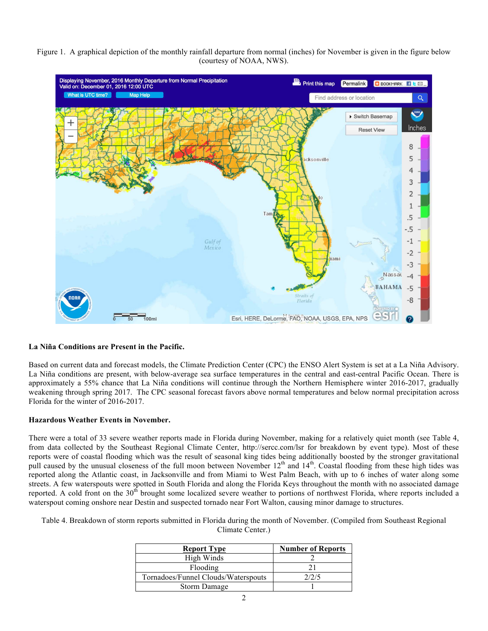#### Figure 1. A graphical depiction of the monthly rainfall departure from normal (inches) for November is given in the figure below (courtesy of NOAA, NWS).



### **La Niña Conditions are Present in the Pacific.**

Based on current data and forecast models, the Climate Prediction Center (CPC) the ENSO Alert System is set at a La Niña Advisory. La Niña conditions are present, with below-average sea surface temperatures in the central and east-central Pacific Ocean. There is approximately a 55% chance that La Niña conditions will continue through the Northern Hemisphere winter 2016-2017, gradually weakening through spring 2017. The CPC seasonal forecast favors above normal temperatures and below normal precipitation across Florida for the winter of 2016-2017.

### **Hazardous Weather Events in November.**

There were a total of 33 severe weather reports made in Florida during November, making for a relatively quiet month (see Table 4, from data collected by the Southeast Regional Climate Center, http://sercc.com/lsr for breakdown by event type). Most of these reports were of coastal flooding which was the result of seasonal king tides being additionally boosted by the stronger gravitational pull caused by the unusual closeness of the full moon between November  $12<sup>th</sup>$  and  $14<sup>th</sup>$ . Coastal flooding from these high tides was reported along the Atlantic coast, in Jacksonville and from Miami to West Palm Beach, with up to 6 inches of water along some streets. A few waterspouts were spotted in South Florida and along the Florida Keys throughout the month with no associated damage reported. A cold front on the 30<sup>th</sup> brought some localized severe weather to portions of northwest Florida, where reports included a waterspout coming onshore near Destin and suspected tornado near Fort Walton, causing minor damage to structures.

Table 4. Breakdown of storm reports submitted in Florida during the month of November. (Compiled from Southeast Regional Climate Center.)

| <b>Report Type</b>                  | <b>Number of Reports</b> |  |
|-------------------------------------|--------------------------|--|
| High Winds                          |                          |  |
| Flooding                            |                          |  |
| Tornadoes/Funnel Clouds/Waterspouts | 2/2/5                    |  |
| Storm Damage                        |                          |  |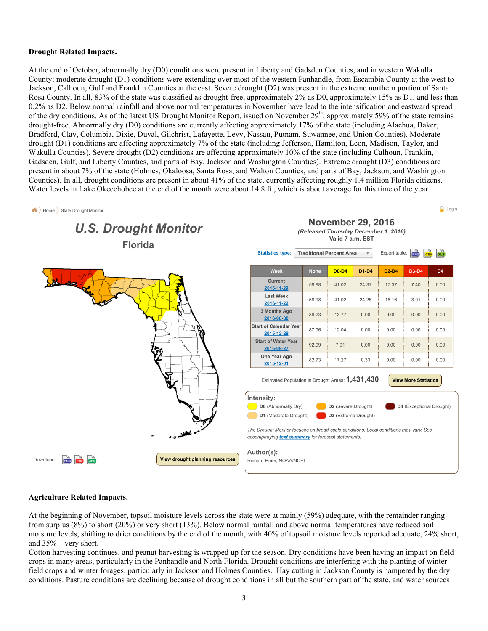#### **Drought Related Impacts.**

At the end of October, abnormally dry (D0) conditions were present in Liberty and Gadsden Counties, and in western Wakulla County; moderate drought (D1) conditions were extending over most of the western Panhandle, from Escambia County at the west to Jackson, Calhoun, Gulf and Franklin Counties at the east. Severe drought (D2) was present in the extreme northern portion of Santa Rosa County. In all, 83% of the state was classified as drought-free, approximately 2% as D0, approximately 15% as D1, and less than 0.2% as D2. Below normal rainfall and above normal temperatures in November have lead to the intensification and eastward spread of the dry conditions. As of the latest US Drought Monitor Report, issued on November  $29<sup>th</sup>$ , approximately 59% of the state remains drought-free. Abnormally dry (D0) conditions are currently affecting approximately 17% of the state (including Alachua, Baker, Bradford, Clay, Columbia, Dixie, Duval, Gilchrist, Lafayette, Levy, Nassau, Putnam, Suwannee, and Union Counties). Moderate drought (D1) conditions are affecting approximately 7% of the state (including Jefferson, Hamilton, Leon, Madison, Taylor, and Wakulla Counties). Severe drought (D2) conditions are affecting approximately 10% of the state (including Calhoun, Franklin, Gadsden, Gulf, and Liberty Counties, and parts of Bay, Jackson and Washington Counties). Extreme drought (D3) conditions are present in about 7% of the state (Holmes, Okaloosa, Santa Rosa, and Walton Counties, and parts of Bay, Jackson, and Washington Counties). In all, drought conditions are present in about 41% of the state, currently affecting roughly 1.4 million Florida citizens. Water levels in Lake Okeechobee at the end of the month were about 14.8 ft., which is about average for this time of the year.



## **Agriculture Related Impacts.**

At the beginning of November, topsoil moisture levels across the state were at mainly (59%) adequate, with the remainder ranging from surplus (8%) to short (20%) or very short (13%). Below normal rainfall and above normal temperatures have reduced soil moisture levels, shifting to drier conditions by the end of the month, with 40% of topsoil moisture levels reported adequate, 24% short, and 35% – very short.

Cotton harvesting continues, and peanut harvesting is wrapped up for the season. Dry conditions have been having an impact on field crops in many areas, particularly in the Panhandle and North Florida. Drought conditions are interfering with the planting of winter field crops and winter forages, particularly in Jackson and Holmes Counties. Hay cutting in Jackson County is hampered by the dry conditions. Pasture conditions are declining because of drought conditions in all but the southern part of the state, and water sources